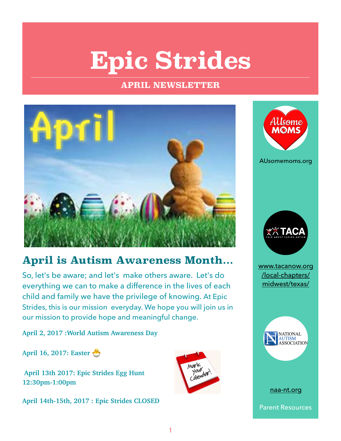## **Epic Strides**

#### **APRIL NEWSLETTER**



### **April is Autism Awareness Month...**

So, let's be aware; and let's make others aware. Let's do everything we can to make a difference in the lives of each child and family we have the privilege of knowing. At Epic Strides, this is our mission everyday. We hope you will join us in our mission to provide hope and meaningful change.

**April 2, 2017 :World Autism Awareness Day** 

**April 16, 2017: Easter** 

 **April 13th 2017: Epic Strides Egg Hunt 12:30pm-1:00pm** 

**April 14th-15th, 2017 : Epic Strides CLOSED**





AUsomemoms.org



www.tacanow.org /local-chapters/ midwest/texas/



[naa-nt.org](http://naa-nt.org)

Parent Resources